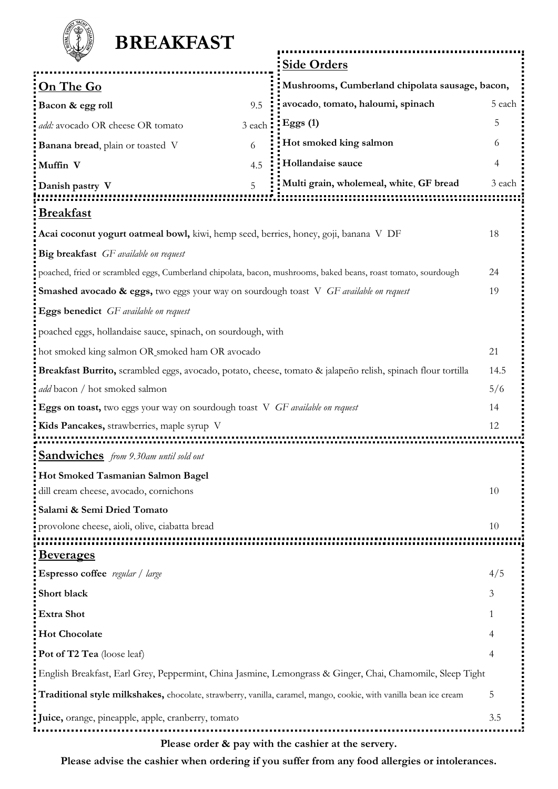| <b>BREAKFAST</b>                                                                                                  |        |                                                     |        |
|-------------------------------------------------------------------------------------------------------------------|--------|-----------------------------------------------------|--------|
|                                                                                                                   |        |                                                     |        |
|                                                                                                                   |        | <b>Side Orders</b>                                  |        |
| On The Go                                                                                                         |        | Mushrooms, Cumberland chipolata sausage, bacon,     |        |
| Bacon & egg roll                                                                                                  | 9.5    | avocado, tomato, haloumi, spinach                   | 5 each |
| add: avocado OR cheese OR tomato                                                                                  | 3 each | $E_{\rm ggs}(1)$                                    | 5      |
| <b>Banana bread</b> , plain or toasted V                                                                          | 6      | Hot smoked king salmon                              | 6      |
| Muffin V                                                                                                          | 4.5    | Hollandaise sauce                                   | 4      |
| Danish pastry V<br><u>Breakfast</u>                                                                               | 5      | Multi grain, wholemeal, white, GF bread             | 3 each |
| Acai coconut yogurt oatmeal bowl, kiwi, hemp seed, berries, honey, goji, banana V DF                              |        |                                                     | 18     |
| Big breakfast GF available on request                                                                             |        |                                                     |        |
| poached, fried or scrambled eggs, Cumberland chipolata, bacon, mushrooms, baked beans, roast tomato, sourdough    |        |                                                     | 24     |
| <b>Smashed avocado &amp; eggs,</b> two eggs your way on sourdough toast V GF <i>available on request</i>          |        |                                                     | 19     |
| <b>Eggs benedict</b> GF available on request                                                                      |        |                                                     |        |
| poached eggs, hollandaise sauce, spinach, on sourdough, with                                                      |        |                                                     |        |
| hot smoked king salmon OR smoked ham OR avocado                                                                   |        |                                                     | 21     |
| Breakfast Burrito, scrambled eggs, avocado, potato, cheese, tomato & jalapeño relish, spinach flour tortilla      |        |                                                     | 14.5   |
| add bacon / hot smoked salmon                                                                                     |        |                                                     | 5/6    |
| Eggs on toast, two eggs your way on sourdough toast V GF available on request                                     |        |                                                     | 14     |
| Kids Pancakes, strawberries, maple syrup V<br>12                                                                  |        |                                                     |        |
| <b>Sandwiches</b> from 9.30am until sold out                                                                      |        |                                                     |        |
| Hot Smoked Tasmanian Salmon Bagel                                                                                 |        |                                                     |        |
| dill cream cheese, avocado, cornichons                                                                            |        |                                                     | 10     |
| Salami & Semi Dried Tomato                                                                                        |        |                                                     |        |
| provolone cheese, aioli, olive, ciabatta bread<br><u>Beverages</u>                                                |        |                                                     | 10     |
| <b>Espresso coffee</b> regular / large                                                                            |        |                                                     | 4/5    |
| Short black                                                                                                       |        |                                                     | 3      |
| <b>Extra Shot</b>                                                                                                 |        |                                                     | 1      |
| <b>Hot Chocolate</b>                                                                                              |        |                                                     |        |
| Pot of T2 Tea (loose leaf)                                                                                        |        |                                                     |        |
| English Breakfast, Earl Grey, Peppermint, China Jasmine, Lemongrass & Ginger, Chai, Chamomile, Sleep Tight        |        |                                                     |        |
| Traditional style milkshakes, chocolate, strawberry, vanilla, caramel, mango, cookie, with vanilla bean ice cream |        |                                                     | 5      |
| Juice, orange, pineapple, apple, cranberry, tomato                                                                |        |                                                     | 3.5    |
|                                                                                                                   |        | Please order & pay with the cashier at the servery. |        |

**Please advise the cashier when ordering if you suffer from any food allergies or intolerances.**